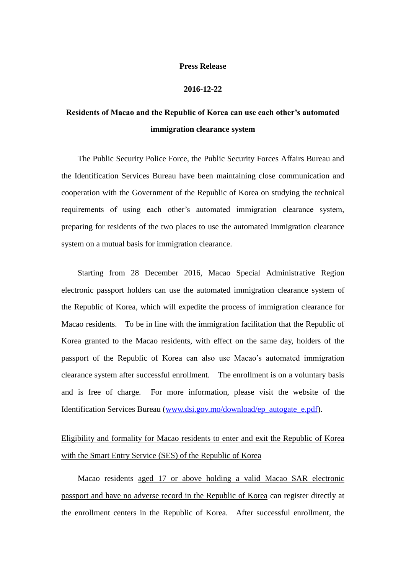## **Press Release**

## **2016-12-22**

## **Residents of Macao and the Republic of Korea can use each other's automated immigration clearance system**

The Public Security Police Force, the Public Security Forces Affairs Bureau and the Identification Services Bureau have been maintaining close communication and cooperation with the Government of the Republic of Korea on studying the technical requirements of using each other's automated immigration clearance system, preparing for residents of the two places to use the automated immigration clearance system on a mutual basis for immigration clearance.

Starting from 28 December 2016, Macao Special Administrative Region electronic passport holders can use the automated immigration clearance system of the Republic of Korea, which will expedite the process of immigration clearance for Macao residents. To be in line with the immigration facilitation that the Republic of Korea granted to the Macao residents, with effect on the same day, holders of the passport of the Republic of Korea can also use Macao's automated immigration clearance system after successful enrollment. The enrollment is on a voluntary basis and is free of charge. For more information, please visit the website of the Identification Services Bureau [\(www.dsi.gov.mo/download/ep\\_autogate\\_e.pdf\)](http://www.dsi.gov.mo/download/ep_autogate_e.pdf).

## Eligibility and formality for Macao residents to enter and exit the Republic of Korea with the Smart Entry Service (SES) of the Republic of Korea

Macao residents aged 17 or above holding a valid Macao SAR electronic passport and have no adverse record in the Republic of Korea can register directly at the enrollment centers in the Republic of Korea. After successful enrollment, the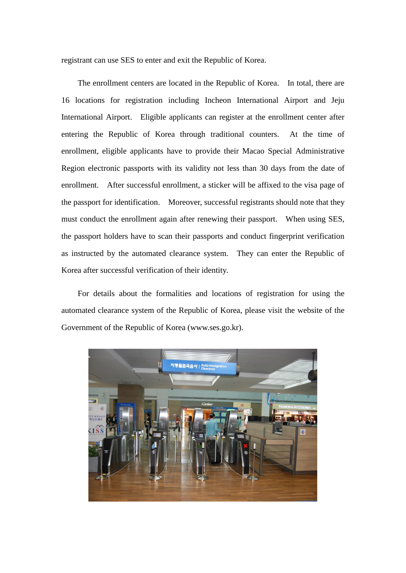registrant can use SES to enter and exit the Republic of Korea.

The enrollment centers are located in the Republic of Korea. In total, there are 16 locations for registration including Incheon International Airport and Jeju International Airport. Eligible applicants can register at the enrollment center after entering the Republic of Korea through traditional counters. At the time of enrollment, eligible applicants have to provide their Macao Special Administrative Region electronic passports with its validity not less than 30 days from the date of enrollment. After successful enrollment, a sticker will be affixed to the visa page of the passport for identification. Moreover, successful registrants should note that they must conduct the enrollment again after renewing their passport. When using SES, the passport holders have to scan their passports and conduct fingerprint verification as instructed by the automated clearance system. They can enter the Republic of Korea after successful verification of their identity.

For details about the formalities and locations of registration for using the automated clearance system of the Republic of Korea, please visit the website of the Government of the Republic of Korea (www.ses.go.kr).

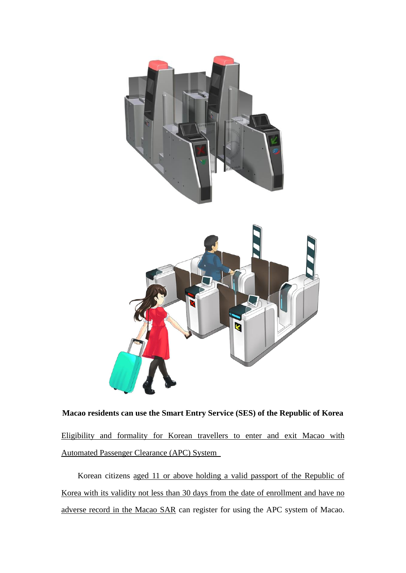

**Macao residents can use the Smart Entry Service (SES) of the Republic of Korea** Eligibility and formality for Korean travellers to enter and exit Macao with Automated Passenger Clearance (APC) System

Korean citizens aged 11 or above holding a valid passport of the Republic of Korea with its validity not less than 30 days from the date of enrollment and have no adverse record in the Macao SAR can register for using the APC system of Macao.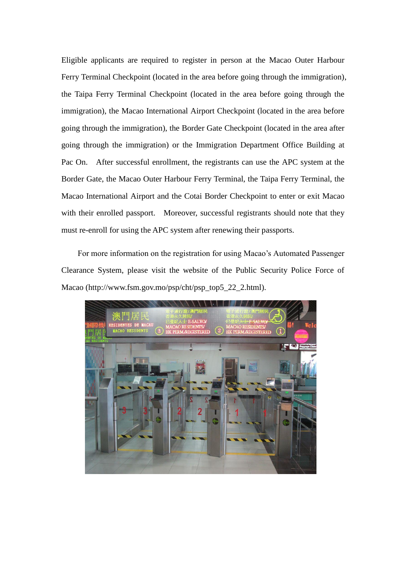Eligible applicants are required to register in person at the Macao Outer Harbour Ferry Terminal Checkpoint (located in the area before going through the immigration), the Taipa Ferry Terminal Checkpoint (located in the area before going through the immigration), the Macao International Airport Checkpoint (located in the area before going through the immigration), the Border Gate Checkpoint (located in the area after going through the immigration) or the Immigration Department Office Building at Pac On. After successful enrollment, the registrants can use the APC system at the Border Gate, the Macao Outer Harbour Ferry Terminal, the Taipa Ferry Terminal, the Macao International Airport and the Cotai Border Checkpoint to enter or exit Macao with their enrolled passport. Moreover, successful registrants should note that they must re-enroll for using the APC system after renewing their passports.

For more information on the registration for using Macao's Automated Passenger Clearance System, please visit the website of the Public Security Police Force of Macao (http://www.fsm.gov.mo/psp/cht/psp\_top5\_22\_2.html).